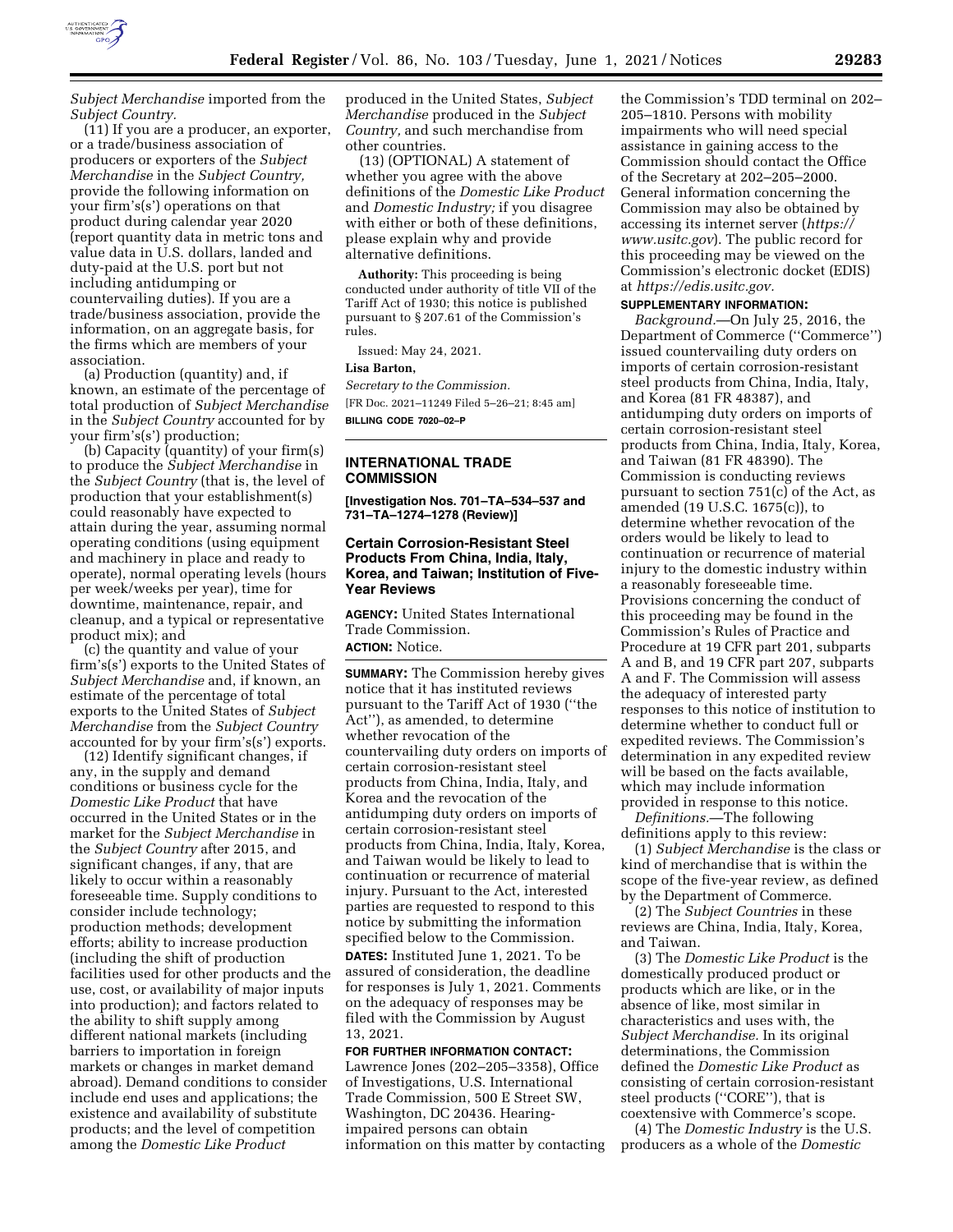

*Subject Merchandise* imported from the *Subject Country.* 

(11) If you are a producer, an exporter, or a trade/business association of producers or exporters of the *Subject Merchandise* in the *Subject Country,*  provide the following information on your firm's(s') operations on that product during calendar year 2020 (report quantity data in metric tons and value data in U.S. dollars, landed and duty-paid at the U.S. port but not including antidumping or countervailing duties). If you are a trade/business association, provide the information, on an aggregate basis, for the firms which are members of your association.

(a) Production (quantity) and, if known, an estimate of the percentage of total production of *Subject Merchandise*  in the *Subject Country* accounted for by your firm's(s') production;

(b) Capacity (quantity) of your firm(s) to produce the *Subject Merchandise* in the *Subject Country* (that is, the level of production that your establishment(s) could reasonably have expected to attain during the year, assuming normal operating conditions (using equipment and machinery in place and ready to operate), normal operating levels (hours per week/weeks per year), time for downtime, maintenance, repair, and cleanup, and a typical or representative product mix); and

(c) the quantity and value of your firm's(s') exports to the United States of *Subject Merchandise* and, if known, an estimate of the percentage of total exports to the United States of *Subject Merchandise* from the *Subject Country*  accounted for by your firm's(s') exports.

(12) Identify significant changes, if any, in the supply and demand conditions or business cycle for the *Domestic Like Product* that have occurred in the United States or in the market for the *Subject Merchandise* in the *Subject Country* after 2015, and significant changes, if any, that are likely to occur within a reasonably foreseeable time. Supply conditions to consider include technology; production methods; development efforts; ability to increase production (including the shift of production facilities used for other products and the use, cost, or availability of major inputs into production); and factors related to the ability to shift supply among different national markets (including barriers to importation in foreign markets or changes in market demand abroad). Demand conditions to consider include end uses and applications; the existence and availability of substitute products; and the level of competition among the *Domestic Like Product* 

produced in the United States, *Subject Merchandise* produced in the *Subject Country,* and such merchandise from other countries.

(13) (OPTIONAL) A statement of whether you agree with the above definitions of the *Domestic Like Product*  and *Domestic Industry;* if you disagree with either or both of these definitions, please explain why and provide alternative definitions.

**Authority:** This proceeding is being conducted under authority of title VII of the Tariff Act of 1930; this notice is published pursuant to § 207.61 of the Commission's rules.

Issued: May 24, 2021.

### **Lisa Barton,**

*Secretary to the Commission.*  [FR Doc. 2021–11249 Filed 5–26–21; 8:45 am] **BILLING CODE 7020–02–P** 

## **INTERNATIONAL TRADE COMMISSION**

**[Investigation Nos. 701–TA–534–537 and 731–TA–1274–1278 (Review)]** 

# **Certain Corrosion-Resistant Steel Products From China, India, Italy, Korea, and Taiwan; Institution of Five-Year Reviews**

**AGENCY:** United States International Trade Commission. **ACTION:** Notice.

**SUMMARY:** The Commission hereby gives notice that it has instituted reviews pursuant to the Tariff Act of 1930 (''the Act''), as amended, to determine whether revocation of the countervailing duty orders on imports of certain corrosion-resistant steel products from China, India, Italy, and Korea and the revocation of the antidumping duty orders on imports of certain corrosion-resistant steel products from China, India, Italy, Korea, and Taiwan would be likely to lead to continuation or recurrence of material injury. Pursuant to the Act, interested parties are requested to respond to this notice by submitting the information specified below to the Commission. **DATES:** Instituted June 1, 2021. To be assured of consideration, the deadline for responses is July 1, 2021. Comments on the adequacy of responses may be filed with the Commission by August 13, 2021.

**FOR FURTHER INFORMATION CONTACT:**  Lawrence Jones (202–205–3358), Office of Investigations, U.S. International Trade Commission, 500 E Street SW, Washington, DC 20436. Hearingimpaired persons can obtain information on this matter by contacting

the Commission's TDD terminal on 202– 205–1810. Persons with mobility impairments who will need special assistance in gaining access to the Commission should contact the Office of the Secretary at 202–205–2000. General information concerning the Commission may also be obtained by accessing its internet server (*https:// www.usitc.gov*). The public record for this proceeding may be viewed on the Commission's electronic docket (EDIS) at *https://edis.usitc.gov.* 

## **SUPPLEMENTARY INFORMATION:**

*Background.*—On July 25, 2016, the Department of Commerce (''Commerce'') issued countervailing duty orders on imports of certain corrosion-resistant steel products from China, India, Italy, and Korea (81 FR 48387), and antidumping duty orders on imports of certain corrosion-resistant steel products from China, India, Italy, Korea, and Taiwan (81 FR 48390). The Commission is conducting reviews pursuant to section 751(c) of the Act, as amended (19 U.S.C. 1675(c)), to determine whether revocation of the orders would be likely to lead to continuation or recurrence of material injury to the domestic industry within a reasonably foreseeable time. Provisions concerning the conduct of this proceeding may be found in the Commission's Rules of Practice and Procedure at 19 CFR part 201, subparts A and B, and 19 CFR part 207, subparts A and F. The Commission will assess the adequacy of interested party responses to this notice of institution to determine whether to conduct full or expedited reviews. The Commission's determination in any expedited review will be based on the facts available, which may include information provided in response to this notice.

*Definitions.*—The following definitions apply to this review:

(1) *Subject Merchandise* is the class or kind of merchandise that is within the scope of the five-year review, as defined by the Department of Commerce.

(2) The *Subject Countries* in these reviews are China, India, Italy, Korea, and Taiwan.

(3) The *Domestic Like Product* is the domestically produced product or products which are like, or in the absence of like, most similar in characteristics and uses with, the *Subject Merchandise.* In its original determinations, the Commission defined the *Domestic Like Product* as consisting of certain corrosion-resistant steel products (''CORE''), that is coextensive with Commerce's scope.

(4) The *Domestic Industry* is the U.S. producers as a whole of the *Domestic*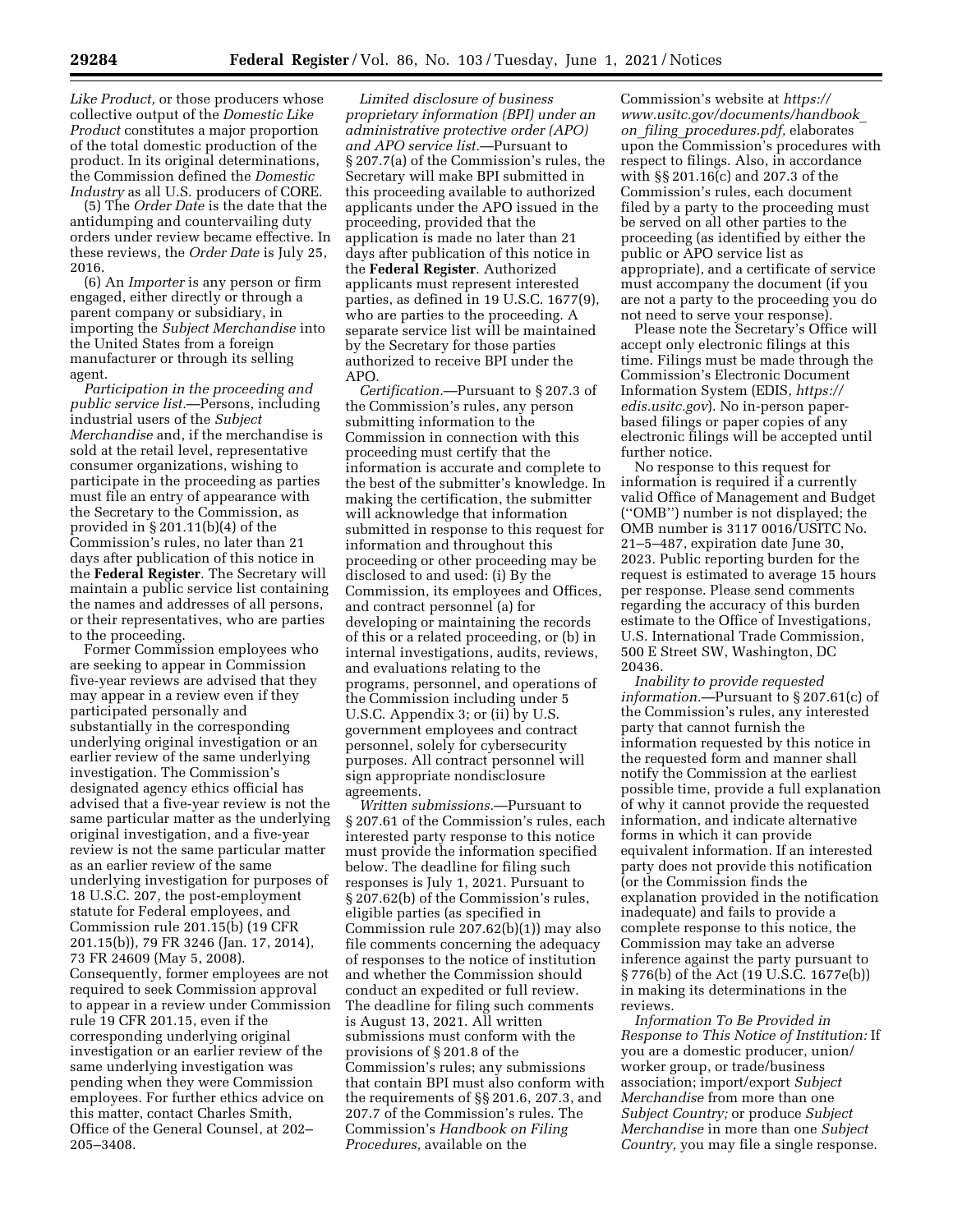(5) The *Order Date* is the date that the antidumping and countervailing duty orders under review became effective. In these reviews, the *Order Date* is July 25, 2016.

(6) An *Importer* is any person or firm engaged, either directly or through a parent company or subsidiary, in importing the *Subject Merchandise* into the United States from a foreign manufacturer or through its selling agent.

*Participation in the proceeding and public service list.*—Persons, including industrial users of the *Subject Merchandise* and, if the merchandise is sold at the retail level, representative consumer organizations, wishing to participate in the proceeding as parties must file an entry of appearance with the Secretary to the Commission, as provided in § 201.11(b)(4) of the Commission's rules, no later than 21 days after publication of this notice in the **Federal Register**. The Secretary will maintain a public service list containing the names and addresses of all persons, or their representatives, who are parties to the proceeding.

Former Commission employees who are seeking to appear in Commission five-year reviews are advised that they may appear in a review even if they participated personally and substantially in the corresponding underlying original investigation or an earlier review of the same underlying investigation. The Commission's designated agency ethics official has advised that a five-year review is not the same particular matter as the underlying original investigation, and a five-year review is not the same particular matter as an earlier review of the same underlying investigation for purposes of 18 U.S.C. 207, the post-employment statute for Federal employees, and Commission rule 201.15(b) (19 CFR 201.15(b)), 79 FR 3246 (Jan. 17, 2014), 73 FR 24609 (May 5, 2008). Consequently, former employees are not required to seek Commission approval to appear in a review under Commission rule 19 CFR 201.15, even if the corresponding underlying original investigation or an earlier review of the same underlying investigation was pending when they were Commission employees. For further ethics advice on this matter, contact Charles Smith, Office of the General Counsel, at 202– 205–3408.

*Limited disclosure of business proprietary information (BPI) under an administrative protective order (APO) and APO service list.*—Pursuant to § 207.7(a) of the Commission's rules, the Secretary will make BPI submitted in this proceeding available to authorized applicants under the APO issued in the proceeding, provided that the application is made no later than 21 days after publication of this notice in the **Federal Register**. Authorized applicants must represent interested parties, as defined in 19 U.S.C. 1677(9), who are parties to the proceeding. A separate service list will be maintained by the Secretary for those parties authorized to receive BPI under the APO.

*Certification.*—Pursuant to § 207.3 of the Commission's rules, any person submitting information to the Commission in connection with this proceeding must certify that the information is accurate and complete to the best of the submitter's knowledge. In making the certification, the submitter will acknowledge that information submitted in response to this request for information and throughout this proceeding or other proceeding may be disclosed to and used: (i) By the Commission, its employees and Offices, and contract personnel (a) for developing or maintaining the records of this or a related proceeding, or (b) in internal investigations, audits, reviews, and evaluations relating to the programs, personnel, and operations of the Commission including under 5 U.S.C. Appendix 3; or (ii) by U.S. government employees and contract personnel, solely for cybersecurity purposes. All contract personnel will sign appropriate nondisclosure agreements.

*Written submissions.*—Pursuant to § 207.61 of the Commission's rules, each interested party response to this notice must provide the information specified below. The deadline for filing such responses is July 1, 2021. Pursuant to § 207.62(b) of the Commission's rules, eligible parties (as specified in Commission rule 207.62(b)(1)) may also file comments concerning the adequacy of responses to the notice of institution and whether the Commission should conduct an expedited or full review. The deadline for filing such comments is August 13, 2021. All written submissions must conform with the provisions of § 201.8 of the Commission's rules; any submissions that contain BPI must also conform with the requirements of §§ 201.6, 207.3, and 207.7 of the Commission's rules. The Commission's *Handbook on Filing Procedures,* available on the

Commission's website at *https:// www.usitc.gov/documents/handbook*\_ *on*\_*filing*\_*procedures.pdf,* elaborates upon the Commission's procedures with respect to filings. Also, in accordance with §§ 201.16(c) and 207.3 of the Commission's rules, each document filed by a party to the proceeding must be served on all other parties to the proceeding (as identified by either the public or APO service list as appropriate), and a certificate of service must accompany the document (if you are not a party to the proceeding you do not need to serve your response).

Please note the Secretary's Office will accept only electronic filings at this time. Filings must be made through the Commission's Electronic Document Information System (EDIS, *https:// edis.usitc.gov*). No in-person paperbased filings or paper copies of any electronic filings will be accepted until further notice.

No response to this request for information is required if a currently valid Office of Management and Budget (''OMB'') number is not displayed; the OMB number is 3117 0016/USITC No. 21–5–487, expiration date June 30, 2023. Public reporting burden for the request is estimated to average 15 hours per response. Please send comments regarding the accuracy of this burden estimate to the Office of Investigations, U.S. International Trade Commission, 500 E Street SW, Washington, DC 20436.

*Inability to provide requested information.*—Pursuant to § 207.61(c) of the Commission's rules, any interested party that cannot furnish the information requested by this notice in the requested form and manner shall notify the Commission at the earliest possible time, provide a full explanation of why it cannot provide the requested information, and indicate alternative forms in which it can provide equivalent information. If an interested party does not provide this notification (or the Commission finds the explanation provided in the notification inadequate) and fails to provide a complete response to this notice, the Commission may take an adverse inference against the party pursuant to § 776(b) of the Act (19 U.S.C. 1677e(b)) in making its determinations in the reviews.

*Information To Be Provided in Response to This Notice of Institution:* If you are a domestic producer, union/ worker group, or trade/business association; import/export *Subject Merchandise* from more than one *Subject Country;* or produce *Subject Merchandise* in more than one *Subject Country,* you may file a single response.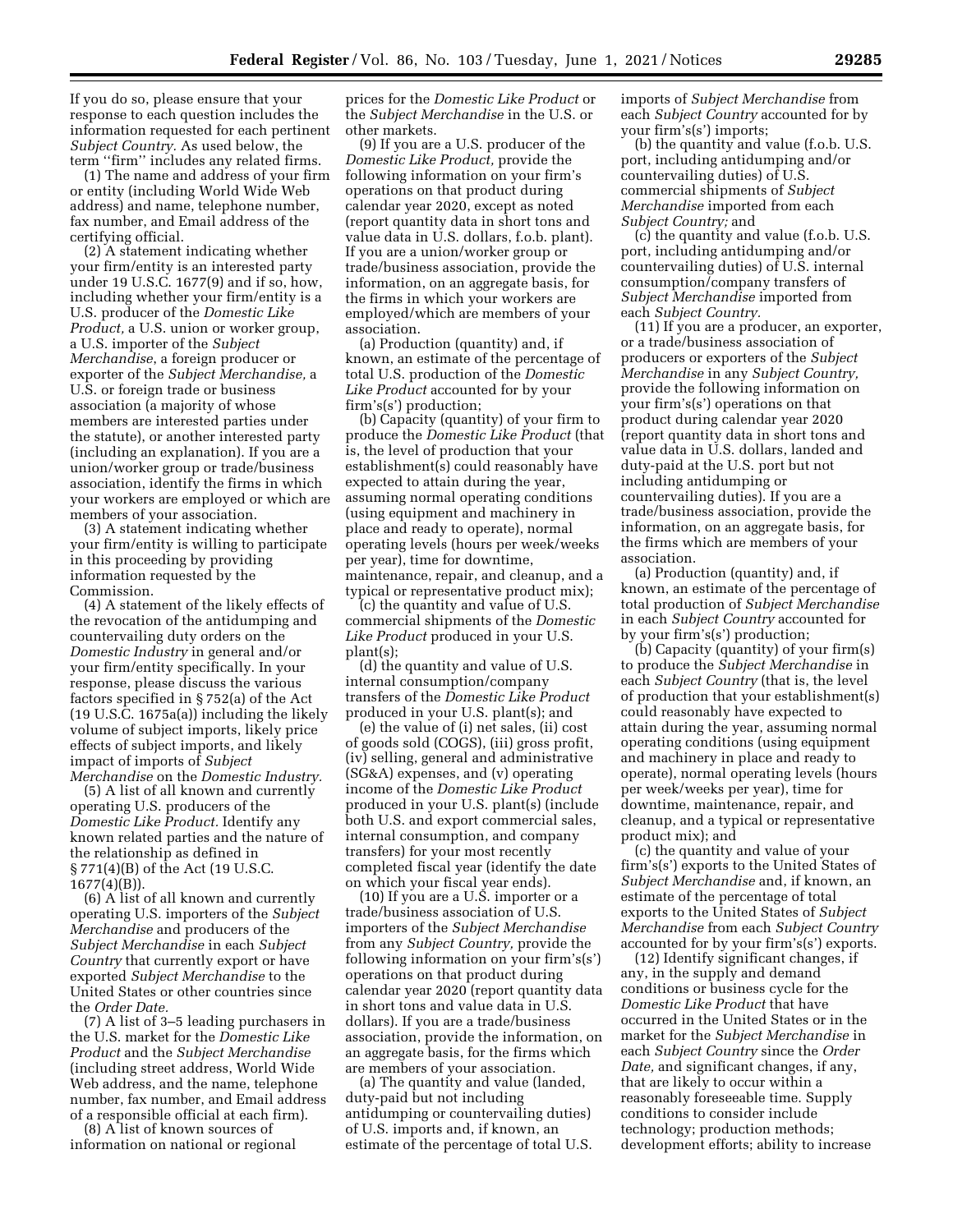If you do so, please ensure that your response to each question includes the information requested for each pertinent *Subject Country.* As used below, the term ''firm'' includes any related firms.

(1) The name and address of your firm or entity (including World Wide Web address) and name, telephone number, fax number, and Email address of the certifying official.

(2) A statement indicating whether your firm/entity is an interested party under 19 U.S.C. 1677(9) and if so, how, including whether your firm/entity is a U.S. producer of the *Domestic Like Product,* a U.S. union or worker group, a U.S. importer of the *Subject Merchandise*, a foreign producer or exporter of the *Subject Merchandise,* a U.S. or foreign trade or business association (a majority of whose members are interested parties under the statute), or another interested party (including an explanation). If you are a union/worker group or trade/business association, identify the firms in which your workers are employed or which are members of your association.

(3) A statement indicating whether your firm/entity is willing to participate in this proceeding by providing information requested by the Commission.

(4) A statement of the likely effects of the revocation of the antidumping and countervailing duty orders on the *Domestic Industry* in general and/or your firm/entity specifically. In your response, please discuss the various factors specified in § 752(a) of the Act (19 U.S.C. 1675a(a)) including the likely volume of subject imports, likely price effects of subject imports, and likely impact of imports of *Subject Merchandise* on the *Domestic Industry.* 

(5) A list of all known and currently operating U.S. producers of the *Domestic Like Product.* Identify any known related parties and the nature of the relationship as defined in § 771(4)(B) of the Act (19 U.S.C. 1677(4)(B)).

(6) A list of all known and currently operating U.S. importers of the *Subject Merchandise* and producers of the *Subject Merchandise* in each *Subject Country* that currently export or have exported *Subject Merchandise* to the United States or other countries since the *Order Date.* 

(7) A list of 3–5 leading purchasers in the U.S. market for the *Domestic Like Product* and the *Subject Merchandise*  (including street address, World Wide Web address, and the name, telephone number, fax number, and Email address of a responsible official at each firm).

(8) A list of known sources of information on national or regional

prices for the *Domestic Like Product* or the *Subject Merchandise* in the U.S. or other markets.

(9) If you are a U.S. producer of the *Domestic Like Product,* provide the following information on your firm's operations on that product during calendar year 2020, except as noted (report quantity data in short tons and value data in U.S. dollars, f.o.b. plant). If you are a union/worker group or trade/business association, provide the information, on an aggregate basis, for the firms in which your workers are employed/which are members of your association.

(a) Production (quantity) and, if known, an estimate of the percentage of total U.S. production of the *Domestic Like Product* accounted for by your firm's(s') production;

(b) Capacity (quantity) of your firm to produce the *Domestic Like Product* (that is, the level of production that your establishment(s) could reasonably have expected to attain during the year, assuming normal operating conditions (using equipment and machinery in place and ready to operate), normal operating levels (hours per week/weeks per year), time for downtime, maintenance, repair, and cleanup, and a typical or representative product mix);

(c) the quantity and value of U.S. commercial shipments of the *Domestic Like Product* produced in your U.S. plant(s);

(d) the quantity and value of U.S. internal consumption/company transfers of the *Domestic Like Product*  produced in your U.S. plant(s); and

(e) the value of (i) net sales, (ii) cost of goods sold (COGS), (iii) gross profit, (iv) selling, general and administrative (SG&A) expenses, and (v) operating income of the *Domestic Like Product*  produced in your U.S. plant(s) (include both U.S. and export commercial sales, internal consumption, and company transfers) for your most recently completed fiscal year (identify the date on which your fiscal year ends).

(10) If you are a U.S. importer or a trade/business association of U.S. importers of the *Subject Merchandise*  from any *Subject Country,* provide the following information on your firm's(s') operations on that product during calendar year 2020 (report quantity data in short tons and value data in U.S. dollars). If you are a trade/business association, provide the information, on an aggregate basis, for the firms which are members of your association.

(a) The quantity and value (landed, duty-paid but not including antidumping or countervailing duties) of U.S. imports and, if known, an estimate of the percentage of total U.S. imports of *Subject Merchandise* from each *Subject Country* accounted for by your firm's(s') imports;

(b) the quantity and value (f.o.b. U.S. port, including antidumping and/or countervailing duties) of U.S. commercial shipments of *Subject Merchandise* imported from each *Subject Country;* and

(c) the quantity and value (f.o.b. U.S. port, including antidumping and/or countervailing duties) of U.S. internal consumption/company transfers of *Subject Merchandise* imported from each *Subject Country.* 

(11) If you are a producer, an exporter, or a trade/business association of producers or exporters of the *Subject Merchandise* in any *Subject Country,*  provide the following information on your firm's(s') operations on that product during calendar year 2020 (report quantity data in short tons and value data in U.S. dollars, landed and duty-paid at the U.S. port but not including antidumping or countervailing duties). If you are a trade/business association, provide the information, on an aggregate basis, for the firms which are members of your association.

(a) Production (quantity) and, if known, an estimate of the percentage of total production of *Subject Merchandise*  in each *Subject Country* accounted for by your firm's(s') production;

(b) Capacity (quantity) of your firm(s) to produce the *Subject Merchandise* in each *Subject Country* (that is, the level of production that your establishment(s) could reasonably have expected to attain during the year, assuming normal operating conditions (using equipment and machinery in place and ready to operate), normal operating levels (hours per week/weeks per year), time for downtime, maintenance, repair, and cleanup, and a typical or representative product mix); and

(c) the quantity and value of your firm's(s') exports to the United States of *Subject Merchandise* and, if known, an estimate of the percentage of total exports to the United States of *Subject Merchandise* from each *Subject Country*  accounted for by your firm's(s') exports.

(12) Identify significant changes, if any, in the supply and demand conditions or business cycle for the *Domestic Like Product* that have occurred in the United States or in the market for the *Subject Merchandise* in each *Subject Country* since the *Order Date,* and significant changes, if any, that are likely to occur within a reasonably foreseeable time. Supply conditions to consider include technology; production methods; development efforts; ability to increase